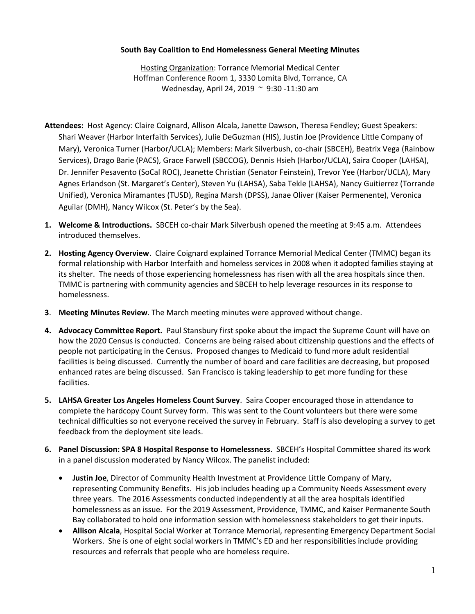## **South Bay Coalition to End Homelessness General Meeting Minutes**

Hosting Organization: Torrance Memorial Medical Center Hoffman Conference Room 1, 3330 Lomita Blvd, Torrance, CA Wednesday, April 24, 2019 ~ 9:30 -11:30 am

- **Attendees:** Host Agency: Claire Coignard, Allison Alcala, Janette Dawson, Theresa Fendley; Guest Speakers: Shari Weaver (Harbor Interfaith Services), Julie DeGuzman (HIS), Justin Joe (Providence Little Company of Mary), Veronica Turner (Harbor/UCLA); Members: Mark Silverbush, co-chair (SBCEH), Beatrix Vega (Rainbow Services), Drago Barie (PACS), Grace Farwell (SBCCOG), Dennis Hsieh (Harbor/UCLA), Saira Cooper (LAHSA), Dr. Jennifer Pesavento (SoCal ROC), Jeanette Christian (Senator Feinstein), Trevor Yee (Harbor/UCLA), Mary Agnes Erlandson (St. Margaret's Center), Steven Yu (LAHSA), Saba Tekle (LAHSA), Nancy Guitierrez (Torrande Unified), Veronica Miramantes (TUSD), Regina Marsh (DPSS), Janae Oliver (Kaiser Permenente), Veronica Aguilar (DMH), Nancy Wilcox (St. Peter's by the Sea).
- **1. Welcome & Introductions.** SBCEH co-chair Mark Silverbush opened the meeting at 9:45 a.m. Attendees introduced themselves.
- **2. Hosting Agency Overview**. Claire Coignard explained Torrance Memorial Medical Center (TMMC) began its formal relationship with Harbor Interfaith and homeless services in 2008 when it adopted families staying at its shelter. The needs of those experiencing homelessness has risen with all the area hospitals since then. TMMC is partnering with community agencies and SBCEH to help leverage resources in its response to homelessness.
- **3**. **Meeting Minutes Review**. The March meeting minutes were approved without change.
- **4. Advocacy Committee Report.** Paul Stansbury first spoke about the impact the Supreme Count will have on how the 2020 Census is conducted. Concerns are being raised about citizenship questions and the effects of people not participating in the Census. Proposed changes to Medicaid to fund more adult residential facilities is being discussed. Currently the number of board and care facilities are decreasing, but proposed enhanced rates are being discussed. San Francisco is taking leadership to get more funding for these facilities.
- **5. LAHSA Greater Los Angeles Homeless Count Survey**. Saira Cooper encouraged those in attendance to complete the hardcopy Count Survey form. This was sent to the Count volunteers but there were some technical difficulties so not everyone received the survey in February. Staff is also developing a survey to get feedback from the deployment site leads.
- **6. Panel Discussion: SPA 8 Hospital Response to Homelessness**. SBCEH's Hospital Committee shared its work in a panel discussion moderated by Nancy Wilcox. The panelist included:
	- **Justin Joe**, Director of Community Health Investment at Providence Little Company of Mary, representing Community Benefits. His job includes heading up a Community Needs Assessment every three years. The 2016 Assessments conducted independently at all the area hospitals identified homelessness as an issue. For the 2019 Assessment, Providence, TMMC, and Kaiser Permanente South Bay collaborated to hold one information session with homelessness stakeholders to get their inputs.
	- **Allison Alcala**, Hospital Social Worker at Torrance Memorial, representing Emergency Department Social Workers. She is one of eight social workers in TMMC's ED and her responsibilities include providing resources and referrals that people who are homeless require.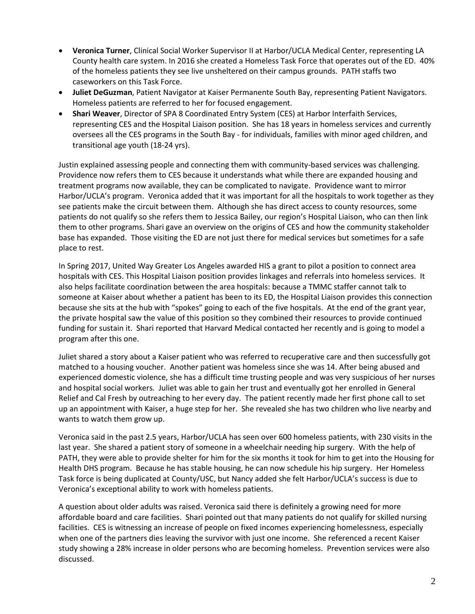- **Veronica Turner**, Clinical Social Worker Supervisor II at Harbor/UCLA Medical Center, representing LA County health care system. In 2016 she created a Homeless Task Force that operates out of the ED. 40% of the homeless patients they see live unsheltered on their campus grounds. PATH staffs two caseworkers on this Task Force.
- **Juliet DeGuzman**, Patient Navigator at Kaiser Permanente South Bay, representing Patient Navigators. Homeless patients are referred to her for focused engagement.
- **Shari Weaver**, Director of SPA 8 Coordinated Entry System (CES) at Harbor Interfaith Services, representing CES and the Hospital Liaison position. She has 18 years in homeless services and currently oversees all the CES programs in the South Bay - for individuals, families with minor aged children, and transitional age youth (18-24 yrs).

Justin explained assessing people and connecting them with community-based services was challenging. Providence now refers them to CES because it understands what while there are expanded housing and treatment programs now available, they can be complicated to navigate. Providence want to mirror Harbor/UCLA's program. Veronica added that it was important for all the hospitals to work together as they see patients make the circuit between them. Although she has direct access to county resources, some patients do not qualify so she refers them to Jessica Bailey, our region's Hospital Liaison, who can then link them to other programs. Shari gave an overview on the origins of CES and how the community stakeholder base has expanded. Those visiting the ED are not just there for medical services but sometimes for a safe place to rest.

In Spring 2017, United Way Greater Los Angeles awarded HIS a grant to pilot a position to connect area hospitals with CES. This Hospital Liaison position provides linkages and referrals into homeless services. It also helps facilitate coordination between the area hospitals: because a TMMC staffer cannot talk to someone at Kaiser about whether a patient has been to its ED, the Hospital Liaison provides this connection because she sits at the hub with "spokes" going to each of the five hospitals. At the end of the grant year, the private hospital saw the value of this position so they combined their resources to provide continued funding for sustain it. Shari reported that Harvard Medical contacted her recently and is going to model a program after this one.

Juliet shared a story about a Kaiser patient who was referred to recuperative care and then successfully got matched to a housing voucher. Another patient was homeless since she was 14. After being abused and experienced domestic violence, she has a difficult time trusting people and was very suspicious of her nurses and hospital social workers. Juliet was able to gain her trust and eventually got her enrolled in General Relief and Cal Fresh by outreaching to her every day. The patient recently made her first phone call to set up an appointment with Kaiser, a huge step for her. She revealed she has two children who live nearby and wants to watch them grow up.

Veronica said in the past 2.5 years, Harbor/UCLA has seen over 600 homeless patients, with 230 visits in the last year. She shared a patient story of someone in a wheelchair needing hip surgery. With the help of PATH, they were able to provide shelter for him for the six months it took for him to get into the Housing for Health DHS program. Because he has stable housing, he can now schedule his hip surgery. Her Homeless Task force is being duplicated at County/USC, but Nancy added she felt Harbor/UCLA's success is due to Veronica's exceptional ability to work with homeless patients.

A question about older adults was raised. Veronica said there is definitely a growing need for more affordable board and care facilities. Shari pointed out that many patients do not qualify for skilled nursing facilities. CES is witnessing an increase of people on fixed incomes experiencing homelessness, especially when one of the partners dies leaving the survivor with just one income. She referenced a recent Kaiser study showing a 28% increase in older persons who are becoming homeless. Prevention services were also discussed.